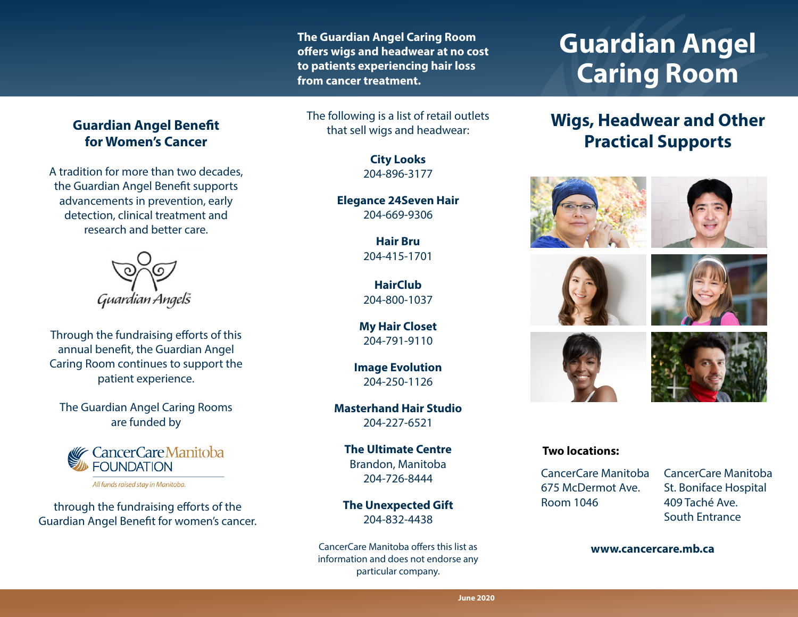**The Guardian Angel Caring Room offers wigs and headwear at no cost to patients experiencing hair loss from cancer treatment.**

The following is a list of retail outlets that sell wigs and headwear:

> **City Looks** 204-896-3177

**Elegance 24Seven Hair** 204-669-9306

> **Hair Bru**  204-415-1701

**HairClub** 204-800-1037

**My Hair Closet** 204-791-9110

**Image Evolution** 204-250-1126

**Masterhand Hair Studio** 204-227-6521

**The Ultimate Centre** Brandon, Manitoba 204-726-8444

**The Unexpected Gift** 204-832-4438

CancerCare Manitoba offers this list as information and does not endorse any particular company.

# **Guardian Angel Caring Room**

# **Wigs, Headwear and Other Practical Supports**













#### **Two locations:**

CancerCare Manitoba 675 McDermot Ave. Room 1046

CancerCare Manitoba St. Boniface Hospital 409 Taché Ave. South Entrance

#### **www.cancercare.mb.ca**

## **Guardian Angel Benefit for Women's Cancer**

A tradition for more than two decades, the Guardian Angel Benefit supports advancements in prevention, early detection, clinical treatment and research and better care.



Through the fundraising efforts of this annual benefit, the Guardian Angel Caring Room continues to support the patient experience.

The Guardian Angel Caring Rooms are funded by



All funds raised stay in Manitoba.

through the fundraising efforts of the Guardian Angel Benefit for women's cancer.